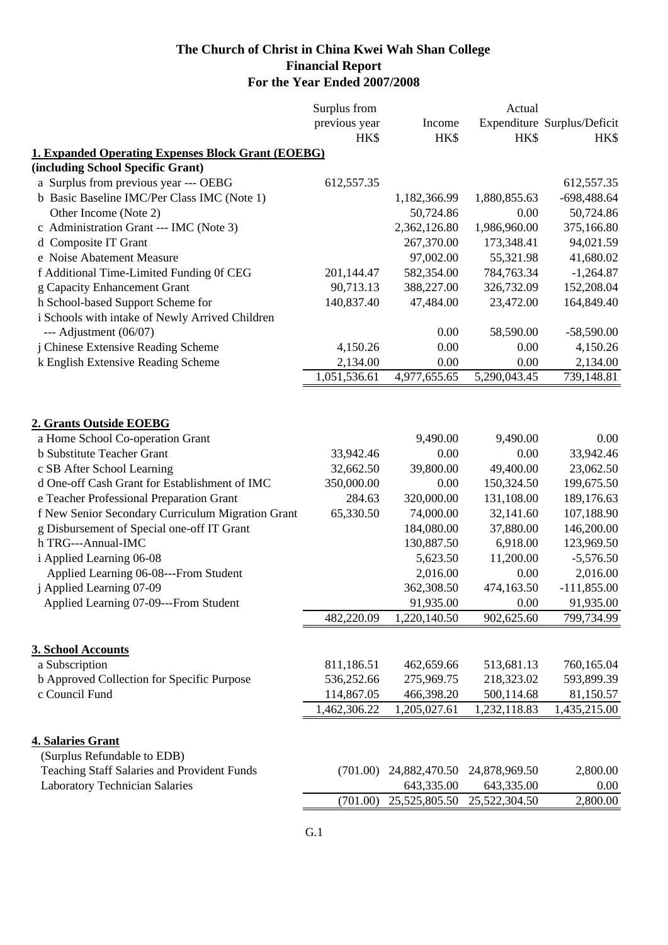## **The Church of Christ in China Kwei Wah Shan College Financial Report For the Year Ended 2007/2008**

|                                                              | Surplus from  | Actual        |               |                             |
|--------------------------------------------------------------|---------------|---------------|---------------|-----------------------------|
|                                                              | previous year | Income        |               | Expenditure Surplus/Deficit |
|                                                              | HK\$          | HK\$          | HK\$          | HK\$                        |
| <b>1. Expanded Operating Expenses Block Grant (EOEBG)</b>    |               |               |               |                             |
| (including School Specific Grant)                            |               |               |               |                             |
| a Surplus from previous year --- OEBG                        | 612,557.35    |               |               | 612,557.35                  |
| b Basic Baseline IMC/Per Class IMC (Note 1)                  |               | 1,182,366.99  | 1,880,855.63  | $-698,488.64$               |
| Other Income (Note 2)                                        |               | 50,724.86     | 0.00          | 50,724.86                   |
| c Administration Grant --- IMC (Note 3)                      |               | 2,362,126.80  | 1,986,960.00  | 375,166.80                  |
| d Composite IT Grant                                         |               | 267,370.00    | 173,348.41    | 94,021.59                   |
| e Noise Abatement Measure                                    |               | 97,002.00     | 55,321.98     | 41,680.02                   |
| f Additional Time-Limited Funding Of CEG                     | 201,144.47    | 582,354.00    | 784,763.34    | $-1,264.87$                 |
| g Capacity Enhancement Grant                                 | 90,713.13     | 388,227.00    | 326,732.09    | 152,208.04                  |
| h School-based Support Scheme for                            | 140,837.40    | 47,484.00     | 23,472.00     | 164,849.40                  |
| i Schools with intake of Newly Arrived Children              |               |               |               |                             |
| --- Adjustment $(06/07)$                                     |               | 0.00          | 58,590.00     | $-58,590.00$                |
| j Chinese Extensive Reading Scheme                           | 4,150.26      | 0.00          | 0.00          | 4,150.26                    |
| k English Extensive Reading Scheme                           | 2,134.00      | 0.00          | 0.00          | 2,134.00                    |
|                                                              | 1,051,536.61  | 4,977,655.65  | 5,290,043.45  | 739,148.81                  |
|                                                              |               |               |               |                             |
|                                                              |               |               |               |                             |
| 2. Grants Outside EOEBG                                      |               |               |               |                             |
| a Home School Co-operation Grant                             |               | 9,490.00      | 9,490.00      | 0.00                        |
| <b>b</b> Substitute Teacher Grant                            | 33,942.46     | 0.00          | 0.00          | 33,942.46                   |
| c SB After School Learning                                   | 32,662.50     | 39,800.00     | 49,400.00     | 23,062.50                   |
| d One-off Cash Grant for Establishment of IMC                | 350,000.00    | 0.00          | 150,324.50    | 199,675.50                  |
| e Teacher Professional Preparation Grant                     | 284.63        | 320,000.00    | 131,108.00    | 189,176.63                  |
| f New Senior Secondary Curriculum Migration Grant            | 65,330.50     | 74,000.00     | 32,141.60     | 107,188.90                  |
| g Disbursement of Special one-off IT Grant                   |               | 184,080.00    | 37,880.00     | 146,200.00                  |
| h TRG---Annual-IMC                                           |               | 130,887.50    | 6,918.00      | 123,969.50                  |
| i Applied Learning 06-08                                     |               | 5,623.50      | 11,200.00     | $-5,576.50$                 |
| Applied Learning 06-08---From Student                        |               | 2,016.00      | 0.00          | 2,016.00                    |
| j Applied Learning 07-09                                     |               | 362,308.50    | 474,163.50    | $-111,855.00$               |
| Applied Learning 07-09---From Student                        |               | 91,935.00     | 0.00          | 91,935.00                   |
|                                                              | 482,220.09    | 1,220,140.50  | 902,625.60    | 799,734.99                  |
|                                                              |               |               |               |                             |
| 3. School Accounts                                           |               |               |               |                             |
| a Subscription                                               | 811,186.51    | 462,659.66    | 513,681.13    | 760,165.04                  |
|                                                              |               | 275,969.75    | 218,323.02    |                             |
| b Approved Collection for Specific Purpose<br>c Council Fund | 536,252.66    |               |               | 593,899.39                  |
|                                                              | 114,867.05    | 466,398.20    | 500,114.68    | 81,150.57                   |
|                                                              | 1,462,306.22  | 1,205,027.61  | 1,232,118.83  | 1,435,215.00                |
|                                                              |               |               |               |                             |
| 4. Salaries Grant                                            |               |               |               |                             |
| (Surplus Refundable to EDB)                                  |               |               |               |                             |
| Teaching Staff Salaries and Provident Funds                  | (701.00)      | 24,882,470.50 | 24,878,969.50 | 2,800.00                    |
| Laboratory Technician Salaries                               |               | 643,335.00    | 643,335.00    | 0.00                        |
|                                                              | (701.00)      | 25,525,805.50 | 25,522,304.50 | 2,800.00                    |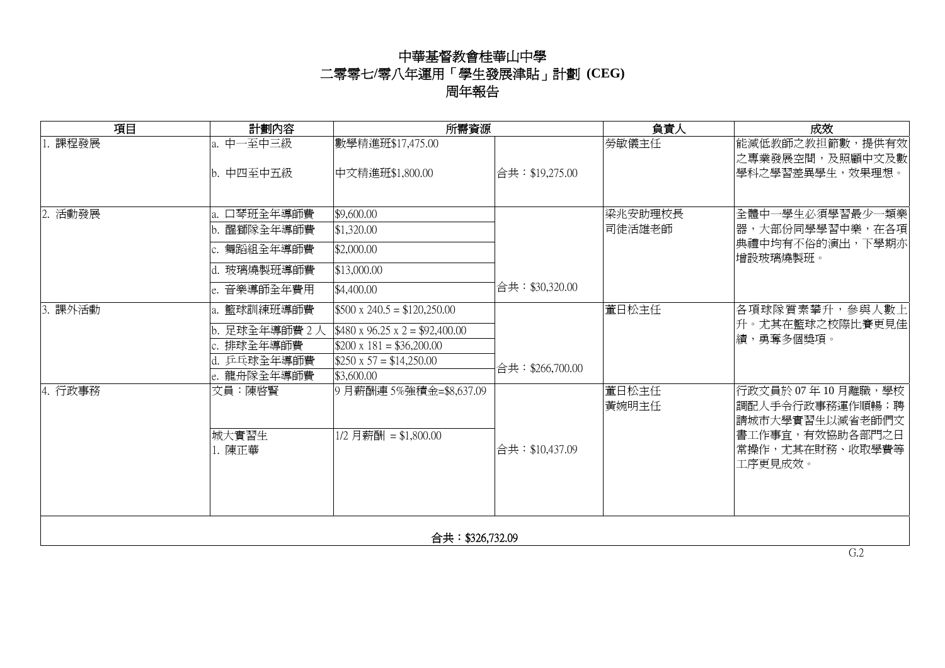## 中華基督教會桂華山中學 二零零七**/**零八年運用「學生發展津貼」計劃 **(CEG)**  周年報告

| 項目               | 計劃內容           | 所需資源                                      |                 | 負責人               | 成效                                                                        |  |  |
|------------------|----------------|-------------------------------------------|-----------------|-------------------|---------------------------------------------------------------------------|--|--|
| 課程發展             | a. 中一至中三級      | 數學精進班\$17,475.00                          |                 | 勞敏儀主任             | 能減低教師之教担節數,提供有效<br>之專業發展空間,及照顧中文及數                                        |  |  |
|                  | b. 中四至中五級      | 中文精進班\$1,800.00                           | 合共:\$19,275.00  |                   | 學科之學習差異學生,效果理想。                                                           |  |  |
|                  | a. 口琴班全年導師費    | \$9,600.00                                |                 |                   |                                                                           |  |  |
| 2. 活動發展          | b. 醒獅隊全年導師費    | \$1,320.00                                |                 | 梁兆安助理校長<br>司徒活雄老師 | 全體中一學生必須學習最少一類樂<br>器,大部份同學學習中樂,在各項<br>典禮中均有不俗的演出,下學期亦<br>增設玻璃燒製班。         |  |  |
|                  |                |                                           | 合共:\$30,320.00  |                   |                                                                           |  |  |
|                  | c. 舞蹈組全年導師費    | \$2,000.00                                |                 |                   |                                                                           |  |  |
|                  | d. 玻璃燒製班導師費    | \$13,000.00                               |                 |                   |                                                                           |  |  |
|                  | e. 音樂導師全年費用    | \$4,400.00                                |                 |                   |                                                                           |  |  |
| 3. 課外活動          | a. 籃球訓練班導師費    | $$500 \times 240.5 = $120,250.00$         |                 | 董日松主任             | 各項球隊質素攀升,參與人數上<br>升。尤其在籃球之校際比賽更見佳<br>績,勇奪多個獎項。                            |  |  |
|                  | b. 足球全年導師費 2 / | $$480 \times 96.25 \times 2 = $92,400.00$ | 合共:\$266,700.00 |                   |                                                                           |  |  |
|                  | 排球全年導師費        | $$200 \times 181 = $36,200.00$            |                 |                   |                                                                           |  |  |
|                  | d. 乒乓球全年導師費    | $$250 \times 57 = $14,250.00$             |                 |                   |                                                                           |  |  |
|                  | e. 龍舟隊全年導師費    | \$3,600.00                                |                 |                   |                                                                           |  |  |
| 4. 行政事務          | 文員:陳啓賢         | 9月薪酬連5%強積金=\$8,637.09                     | 合共:\$10,437.09  | 董日松主任<br>黃婉明主任    | 行政文員於07年10月離職,學校<br>調配人手令行政事務運作順暢;聘<br>請城市大學實習生以減省老師們文<br>書工作事宜,有效協助各部門之日 |  |  |
|                  | 城大實習生          | 1/2 月薪酬 = \$1,800.00                      |                 |                   |                                                                           |  |  |
|                  | 1. 陳正華         |                                           |                 |                   | 常操作,尤其在財務、收取學費等                                                           |  |  |
|                  |                |                                           |                 |                   | 工序更見成效。                                                                   |  |  |
|                  |                |                                           |                 |                   |                                                                           |  |  |
|                  |                |                                           |                 |                   |                                                                           |  |  |
| 合共: \$326,732.09 |                |                                           |                 |                   |                                                                           |  |  |